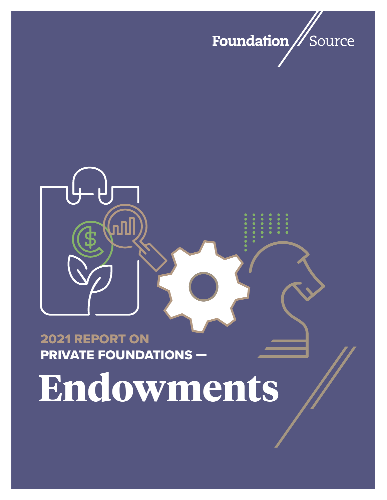

**Endowments**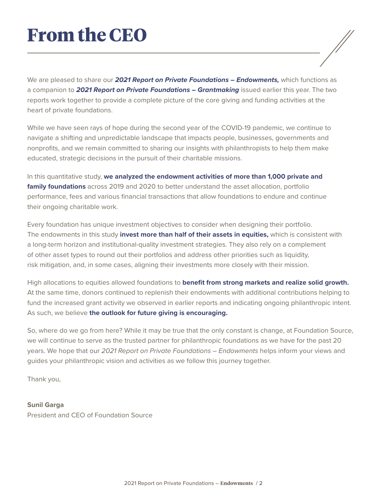## **From the CEO**

We are pleased to share our *2021 Report on Private Foundations – Endowments,* which functions as a companion to *2021 Report on Private Foundations – Grantmaking* issued earlier this year. The two reports work together to provide a complete picture of the core giving and funding activities at the heart of private foundations.

 $\frac{1}{\sqrt{2}}$ 

While we have seen rays of hope during the second year of the COVID-19 pandemic, we continue to navigate a shifting and unpredictable landscape that impacts people, businesses, governments and nonprofits, and we remain committed to sharing our insights with philanthropists to help them make educated, strategic decisions in the pursuit of their charitable missions.

In this quantitative study, **we analyzed the endowment activities of more than 1,000 private and family foundations** across 2019 and 2020 to better understand the asset allocation, portfolio performance, fees and various financial transactions that allow foundations to endure and continue their ongoing charitable work.

Every foundation has unique investment objectives to consider when designing their portfolio. The endowments in this study **invest more than half of their assets in equities,** which is consistent with a long-term horizon and institutional-quality investment strategies. They also rely on a complement of other asset types to round out their portfolios and address other priorities such as liquidity, risk mitigation, and, in some cases, aligning their investments more closely with their mission.

High allocations to equities allowed foundations to **benefit from strong markets and realize solid growth.**  At the same time, donors continued to replenish their endowments with additional contributions helping to fund the increased grant activity we observed in earlier reports and indicating ongoing philanthropic intent. As such, we believe **the outlook for future giving is encouraging.**

So, where do we go from here? While it may be true that the only constant is change, at Foundation Source, we will continue to serve as the trusted partner for philanthropic foundations as we have for the past 20 years. We hope that our *2021 Report on Private Foundations – Endowments* helps inform your views and guides your philanthropic vision and activities as we follow this journey together.

Thank you,

**Sunil Garga** President and CEO of Foundation Source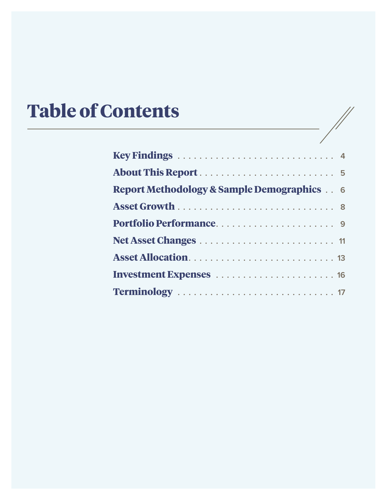## **Table of Contents**

|                                                       | $-$ /' |
|-------------------------------------------------------|--------|
|                                                       |        |
|                                                       |        |
| <b>Report Methodology &amp; Sample Demographics</b> 6 |        |
|                                                       |        |
|                                                       |        |
|                                                       |        |
|                                                       |        |
|                                                       |        |
|                                                       |        |

 $\frac{1}{\sqrt{2}}$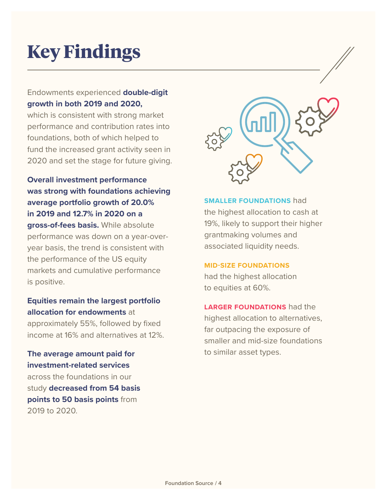## **Key Findings**

## Endowments experienced **double-digit growth in both 2019 and 2020,**

which is consistent with strong market performance and contribution rates into foundations, both of which helped to fund the increased grant activity seen in 2020 and set the stage for future giving.

## **Overall investment performance was strong with foundations achieving average portfolio growth of 20.0% in 2019 and 12.7% in 2020 on a gross-of-fees basis.** While absolute performance was down on a year-over-

year basis, the trend is consistent with the performance of the US equity markets and cumulative performance is positive.

## **Equities remain the largest portfolio allocation for endowments** at

approximately 55%, followed by fixed income at 16% and alternatives at 12%.

**The average amount paid for investment-related services** across the foundations in our study **decreased from 54 basis points to 50 basis points** from 2019 to 2020.



#### **SMALLER FOUNDATIONS** had

the highest allocation to cash at 19%, likely to support their higher grantmaking volumes and associated liquidity needs.

### **MID-SIZE FOUNDATIONS**

had the highest allocation to equities at 60%.

## **LARGER FOUNDATIONS** had the highest allocation to alternatives, far outpacing the exposure of smaller and mid-size foundations to similar asset types.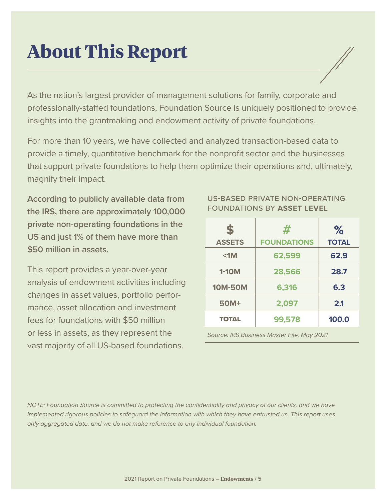## **About This Report**

As the nation's largest provider of management solutions for family, corporate and professionally-staffed foundations, Foundation Source is uniquely positioned to provide insights into the grantmaking and endowment activity of private foundations.

For more than 10 years, we have collected and analyzed transaction-based data to provide a timely, quantitative benchmark for the nonprofit sector and the businesses that support private foundations to help them optimize their operations and, ultimately, magnify their impact.

**According to publicly available data from the IRS, there are approximately 100,000 private non-operating foundations in the US and just 1% of them have more than \$50 million in assets.** 

This report provides a year-over-year analysis of endowment activities including changes in asset values, portfolio performance, asset allocation and investment fees for foundations with \$50 million or less in assets, as they represent the vast majority of all US-based foundations.

### US-BASED PRIVATE NON-OPERATING FOUNDATIONS BY **ASSET LEVEL**

| \$             | #                  | $\%$         |
|----------------|--------------------|--------------|
| <b>ASSETS</b>  | <b>FOUNDATIONS</b> | <b>TOTAL</b> |
| < 1 M          | 62,599             | 62.9         |
| $1-10M$        | 28,566             | 28.7         |
| <b>10M-50M</b> | 6,316              | 6.3          |
| 50M+           | 2,097              | 2.1          |
| <b>TOTAL</b>   | 99,578             | 100.0        |

*Source: IRS Business Master File, May 2021*

*NOTE: Foundation Source is committed to protecting the confidentiality and privacy of our clients, and we have implemented rigorous policies to safeguard the information with which they have entrusted us. This report uses only aggregated data, and we do not make reference to any individual foundation.*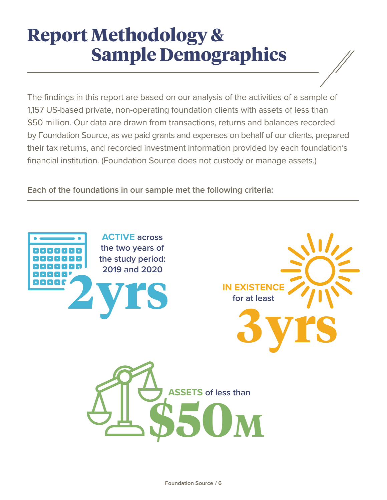## **Report Methodology & Sample Demographics**

The findings in this report are based on our analysis of the activities of a sample of 1,157 US-based private, non-operating foundation clients with assets of less than \$50 million. Our data are drawn from transactions, returns and balances recorded by Foundation Source, as we paid grants and expenses on behalf of our clients, prepared their tax returns, and recorded investment information provided by each foundation's financial institution. (Foundation Source does not custody or manage assets.)

**Each of the foundations in our sample met the following criteria:**

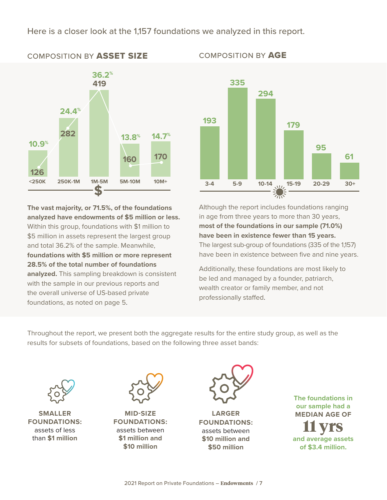Here is a closer look at the 1,157 foundations we analyzed in this report.

COMPOSITION BY ASSET SIZE



**The vast majority, or 71.5%, of the foundations analyzed have endowments of \$5 million or less.**  Within this group, foundations with \$1 million to \$5 million in assets represent the largest group and total 36.2% of the sample. Meanwhile, **foundations with \$5 million or more represent 28.5% of the total number of foundations analyzed.** This sampling breakdown is consistent with the sample in our previous reports and the overall universe of US-based private foundations, as noted on page 5.

**<250K 250K-1M 1M-5M 5M-10M 10M+ 3-4 5-9 10-14 15-19 20-29 30+ 193 193 335 294 179 95 61**

### Although the report includes foundations ranging in age from three years to more than 30 years, **most of the foundations in our sample (71.0%) have been in existence fewer than 15 years.** The largest sub-group of foundations (335 of the 1,157) have been in existence between five and nine years.

Additionally, these foundations are most likely to be led and managed by a founder, patriarch, wealth creator or family member, and not professionally staffed.

Throughout the report, we present both the aggregate results for the entire study group, as well as the results for subsets of foundations, based on the following three asset bands:



**SMALLER FOUNDATIONS:** assets of less than **\$1 million**



**MID-SIZE FOUNDATIONS:** assets between **\$1 million and \$10 million**



**FOUNDATIONS:** assets between **\$10 million and \$50 million**

**The foundations in our sample had a MEDIAN AGE OF** 

**11 yrs and average assets of \$3.4 million.**

COMPOSITION BY AGE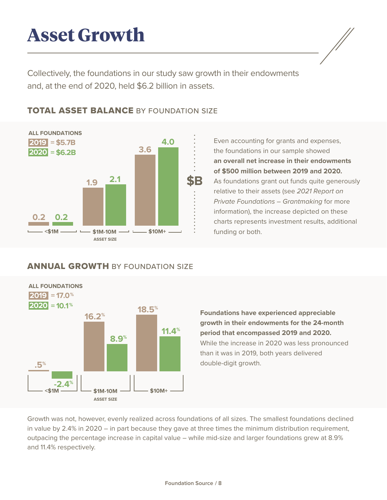## **Asset Growth**

Collectively, the foundations in our study saw growth in their endowments and, at the end of 2020, held \$6.2 billion in assets.



**TOTAL ASSET BALANCE BY FOUNDATION SIZE** 

Even accounting for grants and expenses, the foundations in our sample showed **an overall net increase in their endowments of \$500 million between 2019 and 2020.** As foundations grant out funds quite generously relative to their assets (see *2021 Report on Private Foundations – Grantmaking* for more information), the increase depicted on these charts represents investment results, additional funding or both.

### **ANNUAL GROWTH BY FOUNDATION SIZE**



**Foundations have experienced appreciable growth in their endowments for the 24-month period that encompassed 2019 and 2020.**  While the increase in 2020 was less pronounced than it was in 2019, both years delivered double-digit growth.

Growth was not, however, evenly realized across foundations of all sizes. The smallest foundations declined in value by 2.4% in 2020 – in part because they gave at three times the minimum distribution requirement, outpacing the percentage increase in capital value – while mid-size and larger foundations grew at 8.9% and 11.4% respectively.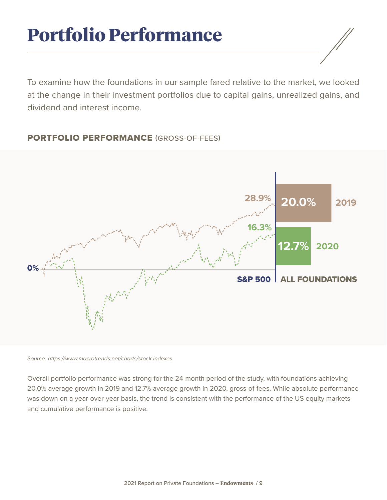## **Portfolio Performance**

To examine how the foundations in our sample fared relative to the market, we looked at the change in their investment portfolios due to capital gains, unrealized gains, and dividend and interest income.





*Source: https://www.macrotrends.net/charts/stock-indexes*

Overall portfolio performance was strong for the 24-month period of the study, with foundations achieving 20.0% average growth in 2019 and 12.7% average growth in 2020, gross-of-fees. While absolute performance was down on a year-over-year basis, the trend is consistent with the performance of the US equity markets and cumulative performance is positive.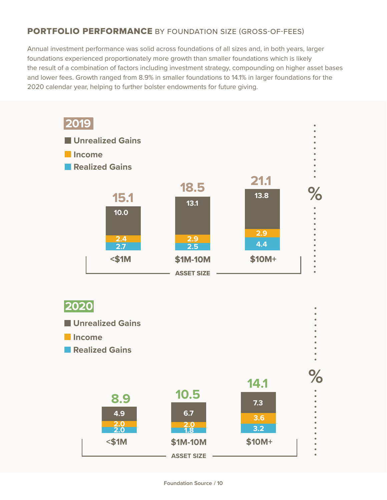## PORTFOLIO PERFORMANCE BY FOUNDATION SIZE (GROSS-OF-FEES)

Annual investment performance was solid across foundations of all sizes and, in both years, larger foundations experienced proportionately more growth than smaller foundations which is likely the result of a combination of factors including investment strategy, compounding on higher asset bases and lower fees. Growth ranged from 8.9% in smaller foundations to 14.1% in larger foundations for the 2020 calendar year, helping to further bolster endowments for future giving.





**Foundation Source / 10**

**ASSET SIZE**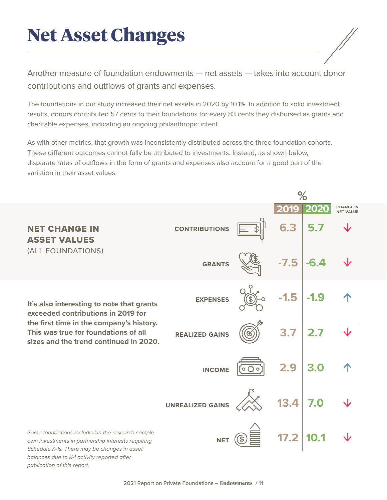## **Net Asset Changes**

*publication of this report.*

Another measure of foundation endowments — net assets — takes into account donor contributions and outflows of grants and expenses.

 $\frac{1}{\sqrt{2}}$ 

The foundations in our study increased their net assets in 2020 by 10.1%. In addition to solid investment results, donors contributed 57 cents to their foundations for every 83 cents they disbursed as grants and charitable expenses, indicating an ongoing philanthropic intent.

As with other metrics, that growth was inconsistently distributed across the three foundation cohorts. These different outcomes cannot fully be attributed to investments. Instead, as shown below, disparate rates of outflows in the form of grants and expenses also account for a good part of the variation in their asset values.

|                                                                                                                                                                                                               |                       |                     | $\%$   |        |                                      |
|---------------------------------------------------------------------------------------------------------------------------------------------------------------------------------------------------------------|-----------------------|---------------------|--------|--------|--------------------------------------|
|                                                                                                                                                                                                               |                       |                     | 2019   | 2020   | <b>CHANGE IN</b><br><b>NET VALUE</b> |
| <b>NET CHANGE IN</b><br><b>ASSET VALUES</b><br>(ALL FOUNDATIONS)                                                                                                                                              | <b>CONTRIBUTIONS</b>  |                     | 6.3    | 5.7    |                                      |
|                                                                                                                                                                                                               | <b>GRANTS</b>         |                     | $-7.5$ | $-6.4$ |                                      |
| It's also interesting to note that grants<br>exceeded contributions in 2019 for<br>the first time in the company's history.<br>This was true for foundations of all<br>sizes and the trend continued in 2020. | <b>EXPENSES</b>       |                     | $-1.5$ | $-1.9$ |                                      |
|                                                                                                                                                                                                               | <b>REALIZED GAINS</b> |                     | 3.7    |        |                                      |
|                                                                                                                                                                                                               | <b>INCOME</b>         | $\circ$ O o $\circ$ | 2.9    | 3.0    |                                      |
|                                                                                                                                                                                                               | UNREALIZED GAINS      |                     | 13.4   | 7.0    |                                      |
| Some foundations included in the research sample<br>own investments in partnership interests requiring<br>Schedule K-1s. There may be changes in asset<br>balances due to K-1 activity reported after         | <b>NET</b>            |                     | 17.2   | 10.1   |                                      |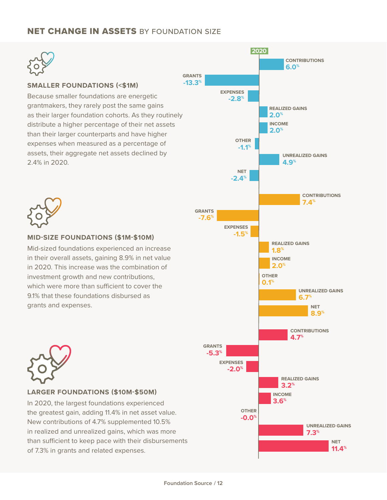

#### **SMALLER FOUNDATIONS (<\$1M)**

Because smaller foundations are energetic grantmakers, they rarely post the same gains as their larger foundation cohorts. As they routinely distribute a higher percentage of their net assets than their larger counterparts and have higher expenses when measured as a percentage of assets, their aggregate net assets declined by 2.4% in 2020.



#### **MID-SIZE FOUNDATIONS (\$1M-\$10M)**

Mid-sized foundations experienced an increase in their overall assets, gaining 8.9% in net value in 2020. This increase was the combination of investment growth and new contributions, which were more than sufficient to cover the 9.1% that these foundations disbursed as grants and expenses.



#### **LARGER FOUNDATIONS (\$10M-\$50M)**

In 2020, the largest foundations experienced the greatest gain, adding 11.4% in net asset value. New contributions of 4.7% supplemented 10.5% in realized and unrealized gains, which was more than sufficient to keep pace with their disbursements of 7.3% in grants and related expenses.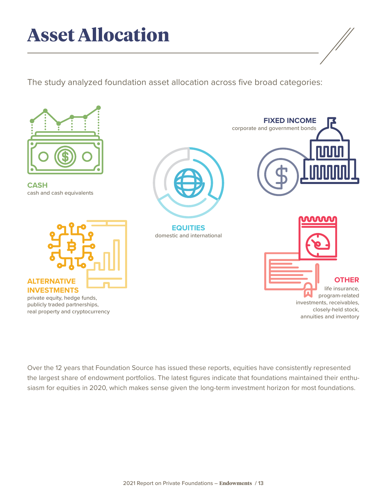## **Asset Allocation**

The study analyzed foundation asset allocation across five broad categories:



Over the 12 years that Foundation Source has issued these reports, equities have consistently represented the largest share of endowment portfolios. The latest figures indicate that foundations maintained their enthusiasm for equities in 2020, which makes sense given the long-term investment horizon for most foundations.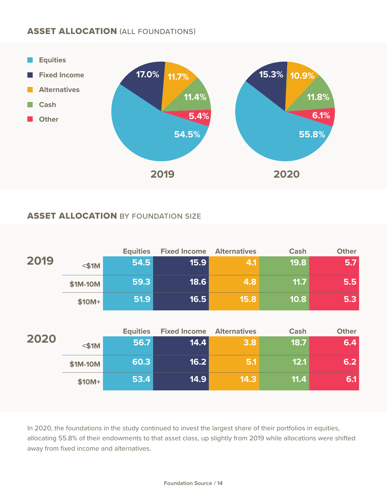## **ASSET ALLOCATION (ALL FOUNDATIONS)**



## **ASSET ALLOCATION BY FOUNDATION SIZE**

|      |          | <b>Equities</b> | <b>Fixed Income</b> | <b>Alternatives</b> | <b>Cash</b> | <b>Other</b> |
|------|----------|-----------------|---------------------|---------------------|-------------|--------------|
| 2019 | $<$ \$1M | 54.5            | 15.9                | 4.1                 | 19.8        | 5.7          |
|      | \$1M-10M | 59.3            | 18.6                | 4.8                 | 11.7        | 5.5          |
|      | \$10M+   | 51.9            | 16.5                | 15.8                | 10.8        | 5.3          |
|      |          |                 |                     |                     |             |              |
|      |          | <b>Equities</b> | <b>Fixed Income</b> | <b>Alternatives</b> | <b>Cash</b> | <b>Other</b> |
| 2020 | $<$ \$1M | 56.7            | 14.4                | 3.8                 | 18.7        | 6.4          |
|      |          |                 |                     |                     |             |              |
|      | \$1M-10M | 60.3            | 16.2                | 5.1                 | 12.1        | 6.2          |

In 2020, the foundations in the study continued to invest the largest share of their portfolios in equities, allocating 55.8% of their endowments to that asset class, up slightly from 2019 while allocations were shifted away from fixed income and alternatives.

#### **Foundation Source / 14**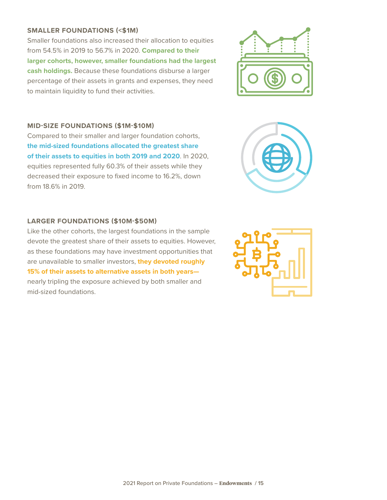#### **SMALLER FOUNDATIONS (<\$1M)**

Smaller foundations also increased their allocation to equities from 54.5% in 2019 to 56.7% in 2020. **Compared to their larger cohorts, however, smaller foundations had the largest cash holdings.** Because these foundations disburse a larger percentage of their assets in grants and expenses, they need to maintain liquidity to fund their activities.



#### **MID-SIZE FOUNDATIONS (\$1M-\$10M)**

Compared to their smaller and larger foundation cohorts, **the mid-sized foundations allocated the greatest share of their assets to equities in both 2019 and 2020**. In 2020, equities represented fully 60.3% of their assets while they decreased their exposure to fixed income to 16.2%, down from 18.6% in 2019.

#### **LARGER FOUNDATIONS (\$10M-\$50M)**

Like the other cohorts, the largest foundations in the sample devote the greatest share of their assets to equities. However, as these foundations may have investment opportunities that are unavailable to smaller investors, **they devoted roughly 15% of their assets to alternative assets in both years** nearly tripling the exposure achieved by both smaller and mid-sized foundations.



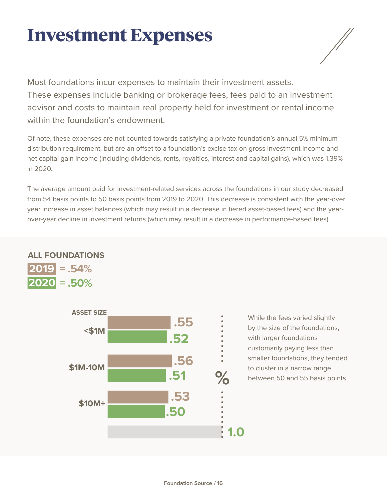## **Investment Expenses**

Most foundations incur expenses to maintain their investment assets. These expenses include banking or brokerage fees, fees paid to an investment advisor and costs to maintain real property held for investment or rental income within the foundation's endowment

Of note, these expenses are not counted towards satisfying a private foundation's annual 5% minimum distribution requirement, but are an offset to a foundation's excise tax on gross investment income and net capital gain income (including dividends, rents, royalties, interest and capital gains), which was 1.39% in 2020.

The average amount paid for investment-related services across the foundations in our study decreased from 54 basis points to 50 basis points from 2019 to 2020. This decrease is consistent with the year-over year increase in asset balances (which may result in a decrease in tiered asset-based fees) and the yearover-year decline in investment returns (which may result in a decrease in performance-based fees).

## **ALL FOUNDATIONS**

**2019 = .54% 2020 = .50%**



While the fees varied slightly by the size of the foundations, with larger foundations customarily paying less than smaller foundations, they tended to cluster in a narrow range between 50 and 55 basis points.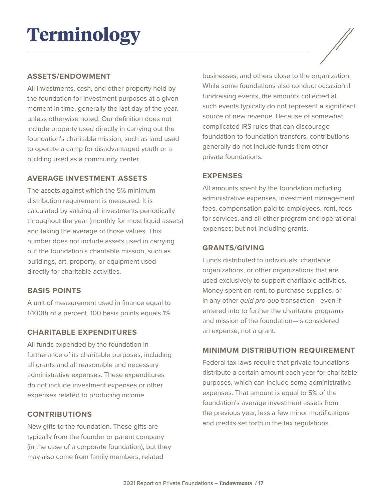## **Terminology**

### **ASSETS/ENDOWMENT**

All investments, cash, and other property held by the foundation for investment purposes at a given moment in time, generally the last day of the year, unless otherwise noted. Our definition does not include property used directly in carrying out the foundation's charitable mission, such as land used to operate a camp for disadvantaged youth or a building used as a community center.

### **AVERAGE INVESTMENT ASSETS**

The assets against which the 5% minimum distribution requirement is measured. It is calculated by valuing all investments periodically throughout the year (monthly for most liquid assets) and taking the average of those values. This number does not include assets used in carrying out the foundation's charitable mission, such as buildings, art, property, or equipment used directly for charitable activities.

### **BASIS POINTS**

A unit of measurement used in finance equal to 1/100th of a percent. 100 basis points equals 1%.

### **CHARITABLE EXPENDITURES**

All funds expended by the foundation in furtherance of its charitable purposes, including all grants and all reasonable and necessary administrative expenses. These expenditures do not include investment expenses or other expenses related to producing income.

### **CONTRIBUTIONS**

New gifts to the foundation. These gifts are typically from the founder or parent company (in the case of a corporate foundation), but they may also come from family members, related

businesses, and others close to the organization. While some foundations also conduct occasional fundraising events, the amounts collected at such events typically do not represent a significant source of new revenue. Because of somewhat complicated IRS rules that can discourage foundation-to-foundation transfers, contributions generally do not include funds from other private foundations.

 $\frac{1}{\sqrt{2}}$ 

### **EXPENSES**

All amounts spent by the foundation including administrative expenses, investment management fees, compensation paid to employees, rent, fees for services, and all other program and operational expenses; but not including grants.

### **GRANTS/GIVING**

Funds distributed to individuals, charitable organizations, or other organizations that are used exclusively to support charitable activities. Money spent on rent, to purchase supplies, or in any other *quid pro quo* transaction—even if entered into to further the charitable programs and mission of the foundation—is considered an expense, not a grant.

### **MINIMUM DISTRIBUTION REQUIREMENT**

Federal tax laws require that private foundations distribute a certain amount each year for charitable purposes, which can include some administrative expenses. That amount is equal to 5% of the foundation's average investment assets from the previous year, less a few minor modifications and credits set forth in the tax regulations.